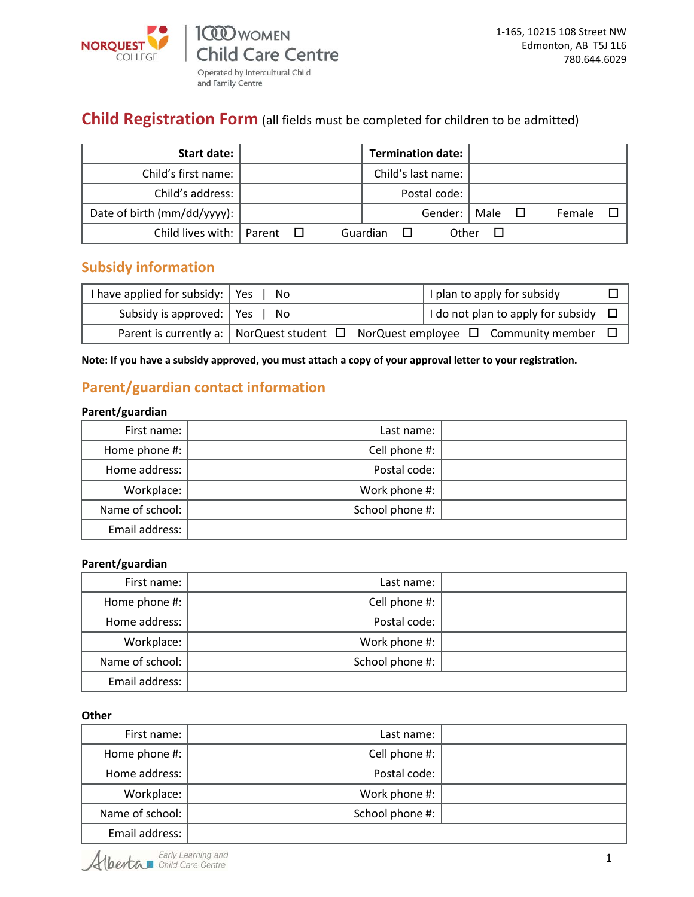

and Family Centre

### **Child Registration Form** (all fields must be completed for children to be admitted)

| <b>Start date:</b>          |                | <b>Termination date:</b> |             |        |
|-----------------------------|----------------|--------------------------|-------------|--------|
| Child's first name:         |                | Child's last name:       |             |        |
| Child's address:            |                | Postal code:             |             |        |
| Date of birth (mm/dd/yyyy): |                | Gender: I                | Male $\Box$ | Female |
| Child lives with:   Parent  | $\blacksquare$ | Other<br>Guardian        |             |        |

### **Subsidy information**

| I have applied for subsidy: $\vert$ Yes $\vert$ No |                                                                                                   | I plan to apply for subsidy               |  |
|----------------------------------------------------|---------------------------------------------------------------------------------------------------|-------------------------------------------|--|
| Subsidy is approved: $\vert$ Yes $\vert$ No        |                                                                                                   | I do not plan to apply for subsidy $\Box$ |  |
|                                                    | Parent is currently a:   NorQuest student $\Box$ NorQuest employee $\Box$ Community member $\Box$ |                                           |  |

**Note: If you have a subsidy approved, you must attach a copy of your approval letter to your registration.**

### **Parent/guardian contact information**

### **Parent/guardian**

| First name:     | Last name:      |  |
|-----------------|-----------------|--|
| Home phone #:   | Cell phone #:   |  |
| Home address:   | Postal code:    |  |
| Workplace:      | Work phone #:   |  |
| Name of school: | School phone #: |  |
| Email address:  |                 |  |

### **Parent/guardian**

| First name:     | Last name:      |  |
|-----------------|-----------------|--|
| Home phone #:   | Cell phone #:   |  |
| Home address:   | Postal code:    |  |
| Workplace:      | Work phone #:   |  |
| Name of school: | School phone #: |  |
| Email address:  |                 |  |

**Other** 

| First name:     | Last name:      |  |
|-----------------|-----------------|--|
| Home phone #:   | Cell phone #:   |  |
| Home address:   | Postal code:    |  |
| Workplace:      | Work phone #:   |  |
| Name of school: | School phone #: |  |
| Email address:  |                 |  |

Alberta Early Learning and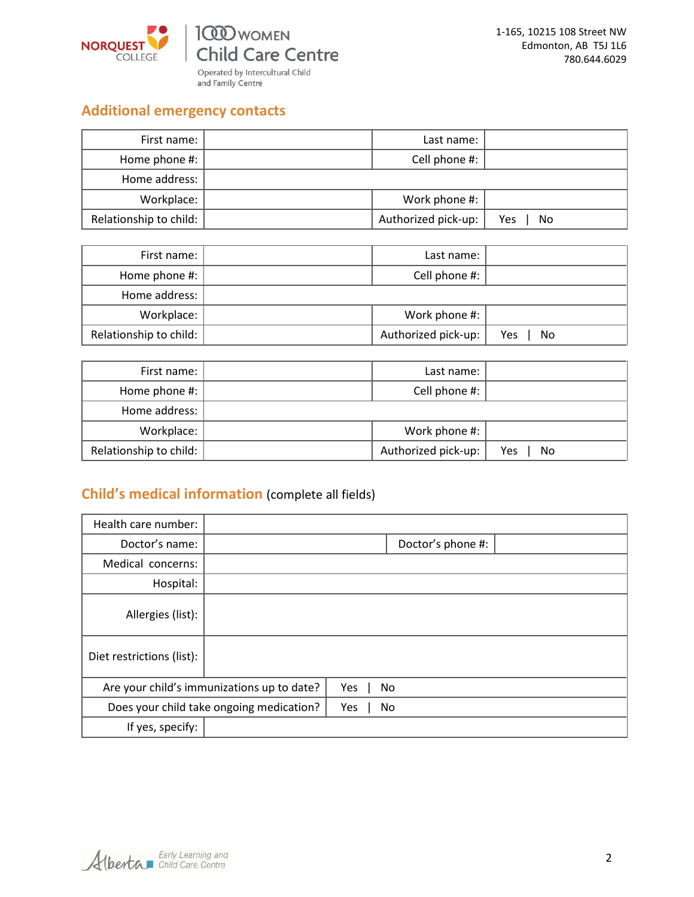

Operated by Intercultural Child<br>and Family Centre

## **Additional emergency contacts**

| First name:            | Last name:          |           |
|------------------------|---------------------|-----------|
| Home phone #:          | Cell phone #:       |           |
| Home address:          |                     |           |
| Workplace:             | Work phone #:       |           |
| Relationship to child: | Authorized pick-up: | Yes<br>No |

| First name:            | Last name:          |           |
|------------------------|---------------------|-----------|
| Home phone #: $ $      | Cell phone #:       |           |
| Home address:          |                     |           |
| Workplace:             | Work phone #:       |           |
| Relationship to child: | Authorized pick-up: | Yes<br>No |

| First name:            | Last name:          |           |
|------------------------|---------------------|-----------|
| Home phone #:          | Cell phone #:       |           |
| Home address:          |                     |           |
| Workplace:             | Work phone #:       |           |
| Relationship to child: | Authorized pick-up: | Yes<br>No |

# **Child's medical information** (complete all fields)

| Health care number:       |                                            |           |                   |  |
|---------------------------|--------------------------------------------|-----------|-------------------|--|
| Doctor's name:            |                                            |           | Doctor's phone #: |  |
| Medical concerns:         |                                            |           |                   |  |
| Hospital:                 |                                            |           |                   |  |
| Allergies (list):         |                                            |           |                   |  |
| Diet restrictions (list): |                                            |           |                   |  |
|                           | Are your child's immunizations up to date? | Yes<br>No |                   |  |
|                           | Does your child take ongoing medication?   | No<br>Yes |                   |  |
| If yes, specify:          |                                            |           |                   |  |

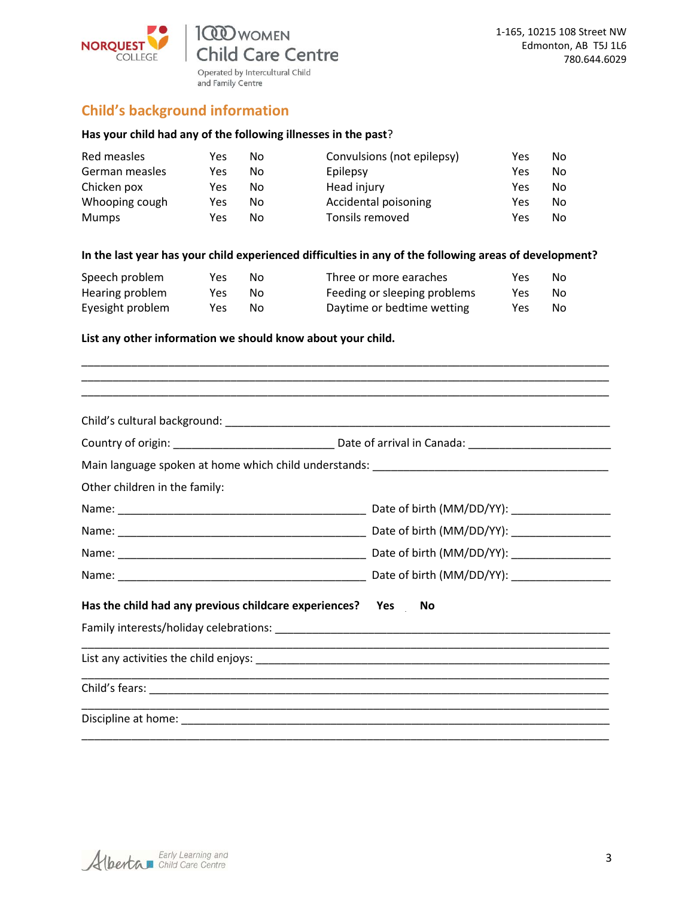

### **Child's background information**

### **Has your child had any of the following illnesses in the past**?

| Red measles    | Yes | No | Convulsions (not epilepsy) | Yes | No. |
|----------------|-----|----|----------------------------|-----|-----|
| German measles | Yes | No | Epilepsy                   | Yes | No. |
| Chicken pox    | Yes | No | Head injury                | Yes | No. |
| Whooping cough | Yes | No | Accidental poisoning       | Yes | No. |
| <b>Mumps</b>   | Yes | Nο | Tonsils removed            | Yes | No. |

### **In the last year has your child experienced difficulties in any of the following areas of development?**

| Speech problem   | Yes. | Nο | Three or more earaches       | Yes. | No. |
|------------------|------|----|------------------------------|------|-----|
| Hearing problem  | Yes  | N٥ | Feeding or sleeping problems | Yes  | .No |
| Eyesight problem | Yes  | Nο | Daytime or bedtime wetting   | Yes  | No. |

#### **List any other information we should know about your child.**

| Other children in the family:                                |  |
|--------------------------------------------------------------|--|
|                                                              |  |
|                                                              |  |
|                                                              |  |
|                                                              |  |
| Has the child had any previous childcare experiences? Yes No |  |
|                                                              |  |
|                                                              |  |
|                                                              |  |
|                                                              |  |

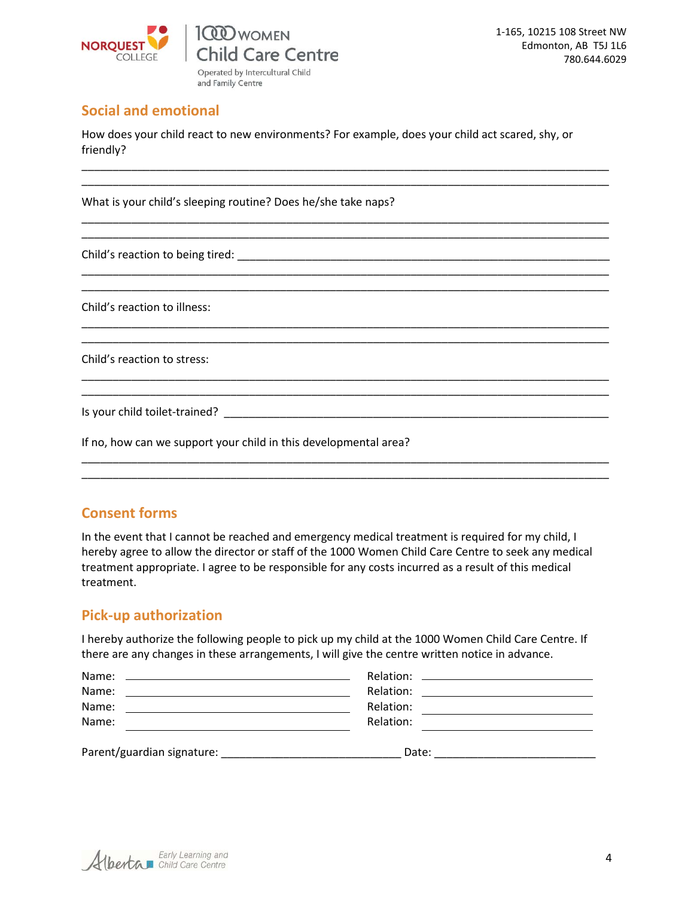

### **Social and emotional**

How does your child react to new environments? For example, does your child act scared, shy, or friendly?

\_\_\_\_\_\_\_\_\_\_\_\_\_\_\_\_\_\_\_\_\_\_\_\_\_\_\_\_\_\_\_\_\_\_\_\_\_\_\_\_\_\_\_\_\_\_\_\_\_\_\_\_\_\_\_\_\_\_\_\_\_\_\_\_\_\_\_\_\_\_\_\_\_\_\_\_\_\_\_\_\_\_\_\_\_ \_\_\_\_\_\_\_\_\_\_\_\_\_\_\_\_\_\_\_\_\_\_\_\_\_\_\_\_\_\_\_\_\_\_\_\_\_\_\_\_\_\_\_\_\_\_\_\_\_\_\_\_\_\_\_\_\_\_\_\_\_\_\_\_\_\_\_\_\_\_\_\_\_\_\_\_\_\_\_\_\_\_\_\_\_

\_\_\_\_\_\_\_\_\_\_\_\_\_\_\_\_\_\_\_\_\_\_\_\_\_\_\_\_\_\_\_\_\_\_\_\_\_\_\_\_\_\_\_\_\_\_\_\_\_\_\_\_\_\_\_\_\_\_\_\_\_\_\_\_\_\_\_\_\_\_\_\_\_\_\_\_\_\_\_\_\_\_\_\_\_ \_\_\_\_\_\_\_\_\_\_\_\_\_\_\_\_\_\_\_\_\_\_\_\_\_\_\_\_\_\_\_\_\_\_\_\_\_\_\_\_\_\_\_\_\_\_\_\_\_\_\_\_\_\_\_\_\_\_\_\_\_\_\_\_\_\_\_\_\_\_\_\_\_\_\_\_\_\_\_\_\_\_\_\_\_

\_\_\_\_\_\_\_\_\_\_\_\_\_\_\_\_\_\_\_\_\_\_\_\_\_\_\_\_\_\_\_\_\_\_\_\_\_\_\_\_\_\_\_\_\_\_\_\_\_\_\_\_\_\_\_\_\_\_\_\_\_\_\_\_\_\_\_\_\_\_\_\_\_\_\_\_\_\_\_\_\_\_\_\_\_ \_\_\_\_\_\_\_\_\_\_\_\_\_\_\_\_\_\_\_\_\_\_\_\_\_\_\_\_\_\_\_\_\_\_\_\_\_\_\_\_\_\_\_\_\_\_\_\_\_\_\_\_\_\_\_\_\_\_\_\_\_\_\_\_\_\_\_\_\_\_\_\_\_\_\_\_\_\_\_\_\_\_\_\_\_

\_\_\_\_\_\_\_\_\_\_\_\_\_\_\_\_\_\_\_\_\_\_\_\_\_\_\_\_\_\_\_\_\_\_\_\_\_\_\_\_\_\_\_\_\_\_\_\_\_\_\_\_\_\_\_\_\_\_\_\_\_\_\_\_\_\_\_\_\_\_\_\_\_\_\_\_\_\_\_\_\_\_\_\_\_ \_\_\_\_\_\_\_\_\_\_\_\_\_\_\_\_\_\_\_\_\_\_\_\_\_\_\_\_\_\_\_\_\_\_\_\_\_\_\_\_\_\_\_\_\_\_\_\_\_\_\_\_\_\_\_\_\_\_\_\_\_\_\_\_\_\_\_\_\_\_\_\_\_\_\_\_\_\_\_\_\_\_\_\_\_

\_\_\_\_\_\_\_\_\_\_\_\_\_\_\_\_\_\_\_\_\_\_\_\_\_\_\_\_\_\_\_\_\_\_\_\_\_\_\_\_\_\_\_\_\_\_\_\_\_\_\_\_\_\_\_\_\_\_\_\_\_\_\_\_\_\_\_\_\_\_\_\_\_\_\_\_\_\_\_\_\_\_\_\_\_ \_\_\_\_\_\_\_\_\_\_\_\_\_\_\_\_\_\_\_\_\_\_\_\_\_\_\_\_\_\_\_\_\_\_\_\_\_\_\_\_\_\_\_\_\_\_\_\_\_\_\_\_\_\_\_\_\_\_\_\_\_\_\_\_\_\_\_\_\_\_\_\_\_\_\_\_\_\_\_\_\_\_\_\_\_

\_\_\_\_\_\_\_\_\_\_\_\_\_\_\_\_\_\_\_\_\_\_\_\_\_\_\_\_\_\_\_\_\_\_\_\_\_\_\_\_\_\_\_\_\_\_\_\_\_\_\_\_\_\_\_\_\_\_\_\_\_\_\_\_\_\_\_\_\_\_\_\_\_\_\_\_\_\_\_\_\_\_\_\_\_ \_\_\_\_\_\_\_\_\_\_\_\_\_\_\_\_\_\_\_\_\_\_\_\_\_\_\_\_\_\_\_\_\_\_\_\_\_\_\_\_\_\_\_\_\_\_\_\_\_\_\_\_\_\_\_\_\_\_\_\_\_\_\_\_\_\_\_\_\_\_\_\_\_\_\_\_\_\_\_\_\_\_\_\_\_

What is your child's sleeping routine? Does he/she take naps?

Child's reaction to being tired: \_\_\_\_\_\_\_\_\_\_\_\_\_\_\_\_\_\_\_\_\_\_\_\_\_\_\_\_\_\_\_\_\_\_\_\_\_\_\_\_\_\_\_\_\_\_\_\_\_\_\_\_\_\_\_\_\_\_\_\_

Child's reaction to illness:

Child's reaction to stress:

Is your child toilet-trained? The state of the state of the state of the state of the state of the state of the state of the state of the state of the state of the state of the state of the state of the state of the state

If no, how can we support your child in this developmental area?

### **Consent forms**

In the event that I cannot be reached and emergency medical treatment is required for my child, I hereby agree to allow the director or staff of the 1000 Women Child Care Centre to seek any medical treatment appropriate. I agree to be responsible for any costs incurred as a result of this medical treatment.

### **Pick-up authorization**

I hereby authorize the following people to pick up my child at the 1000 Women Child Care Centre. If there are any changes in these arrangements, I will give the centre written notice in advance.

| Name:<br><u> 1990 - Johann Stoff, amerikansk politiker (d. 1980)</u>                                                          |           |  |
|-------------------------------------------------------------------------------------------------------------------------------|-----------|--|
| Name:<br><u> 1989 - Jan Sterling von de Sterling von de Sterling von de Sterling von de Sterling von de Sterling von de S</u> |           |  |
| Name:                                                                                                                         | Relation: |  |
| Name:                                                                                                                         | Relation: |  |
| Parent/guardian signature:                                                                                                    | Date:     |  |

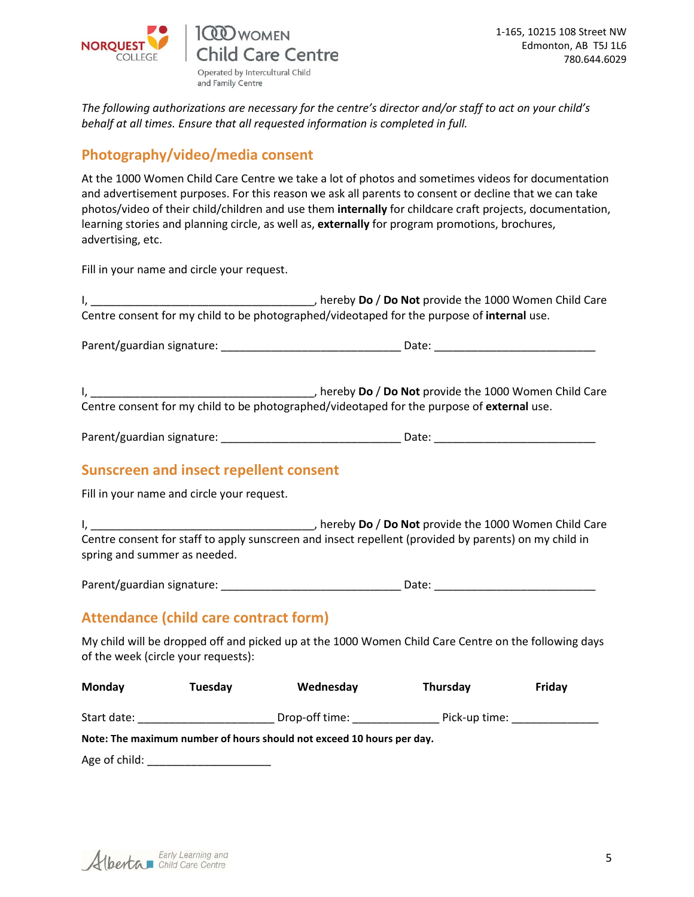

and Family Centre

*The following authorizations are necessary for the centre's director and/or staff to act on your child's behalf at all times. Ensure that all requested information is completed in full.*

## **Photography/video/media consent**

At the 1000 Women Child Care Centre we take a lot of photos and sometimes videos for documentation and advertisement purposes. For this reason we ask all parents to consent or decline that we can take photos/video of their child/children and use them **internally** for childcare craft projects, documentation, learning stories and planning circle, as well as, **externally** for program promotions, brochures, advertising, etc.

Fill in your name and circle your request.

| Centre consent for my child to be photographed/videotaped for the purpose of internal use.                                            |  |
|---------------------------------------------------------------------------------------------------------------------------------------|--|
|                                                                                                                                       |  |
| Centre consent for my child to be photographed/videotaped for the purpose of external use.                                            |  |
|                                                                                                                                       |  |
| <b>Sunscreen and insect repellent consent</b><br>Fill in your name and circle your request.                                           |  |
| Centre consent for staff to apply sunscreen and insect repellent (provided by parents) on my child in<br>spring and summer as needed. |  |
|                                                                                                                                       |  |
| Attendance (child care contract form)                                                                                                 |  |

My child will be dropped off and picked up at the 1000 Women Child Care Centre on the following days of the week (circle your requests):

| Monday        | Tuesdav | Wednesday                                                             | Thursday      | Friday |
|---------------|---------|-----------------------------------------------------------------------|---------------|--------|
| Start date:   |         | Drop-off time:                                                        | Pick-up time: |        |
|               |         | Note: The maximum number of hours should not exceed 10 hours per day. |               |        |
| Age of child: |         |                                                                       |               |        |

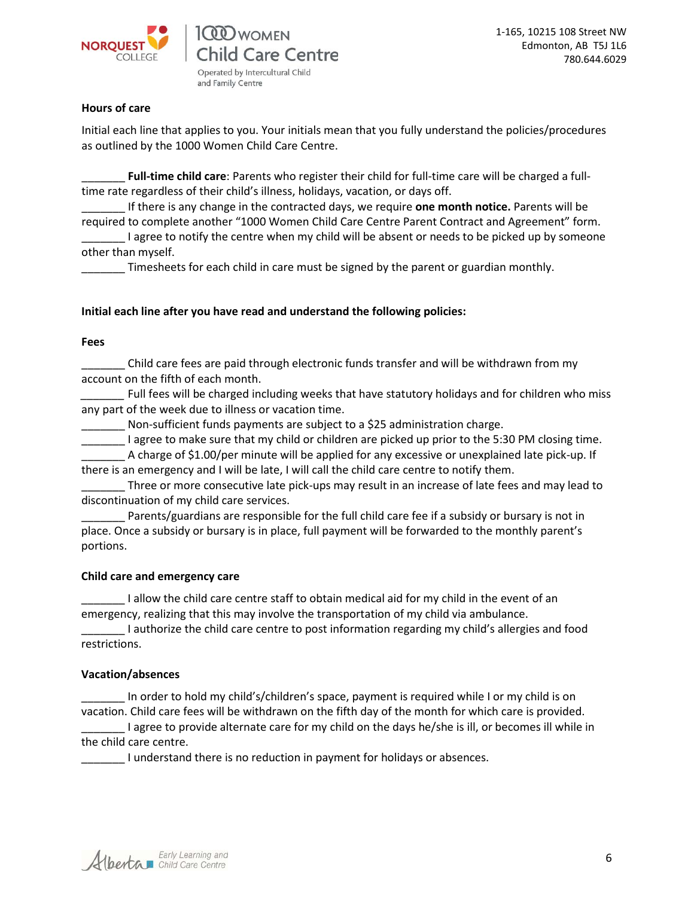

**CO** WOMEN Child Care Centre Operated by Intercultural Child and Family Centre

### **Hours of care**

Initial each line that applies to you. Your initials mean that you fully understand the policies/procedures as outlined by the 1000 Women Child Care Centre.

\_\_\_\_\_\_\_ **Full-time child care**: Parents who register their child for full-time care will be charged a fulltime rate regardless of their child's illness, holidays, vacation, or days off.

\_\_\_\_\_\_\_ If there is any change in the contracted days, we require **one month notice.** Parents will be required to complete another "1000 Women Child Care Centre Parent Contract and Agreement" form. I agree to notify the centre when my child will be absent or needs to be picked up by someone other than myself.

Timesheets for each child in care must be signed by the parent or guardian monthly.

### **Initial each line after you have read and understand the following policies:**

#### **Fees**

\_\_\_\_\_\_\_ Child care fees are paid through electronic funds transfer and will be withdrawn from my account on the fifth of each month.

Full fees will be charged including weeks that have statutory holidays and for children who miss any part of the week due to illness or vacation time.

Non-sufficient funds payments are subject to a \$25 administration charge.

I agree to make sure that my child or children are picked up prior to the 5:30 PM closing time.

\_\_\_\_\_\_\_ A charge of \$1.00/per minute will be applied for any excessive or unexplained late pick-up. If there is an emergency and I will be late, I will call the child care centre to notify them.

\_\_\_\_\_\_\_ Three or more consecutive late pick-ups may result in an increase of late fees and may lead to discontinuation of my child care services.

Parents/guardians are responsible for the full child care fee if a subsidy or bursary is not in place. Once a subsidy or bursary is in place, full payment will be forwarded to the monthly parent's portions.

#### **Child care and emergency care**

I allow the child care centre staff to obtain medical aid for my child in the event of an emergency, realizing that this may involve the transportation of my child via ambulance.

I authorize the child care centre to post information regarding my child's allergies and food restrictions.

### **Vacation/absences**

In order to hold my child's/children's space, payment is required while I or my child is on vacation. Child care fees will be withdrawn on the fifth day of the month for which care is provided.

\_\_\_\_\_\_\_ I agree to provide alternate care for my child on the days he/she is ill, or becomes ill while in the child care centre.

\_\_\_\_\_\_\_ I understand there is no reduction in payment for holidays or absences.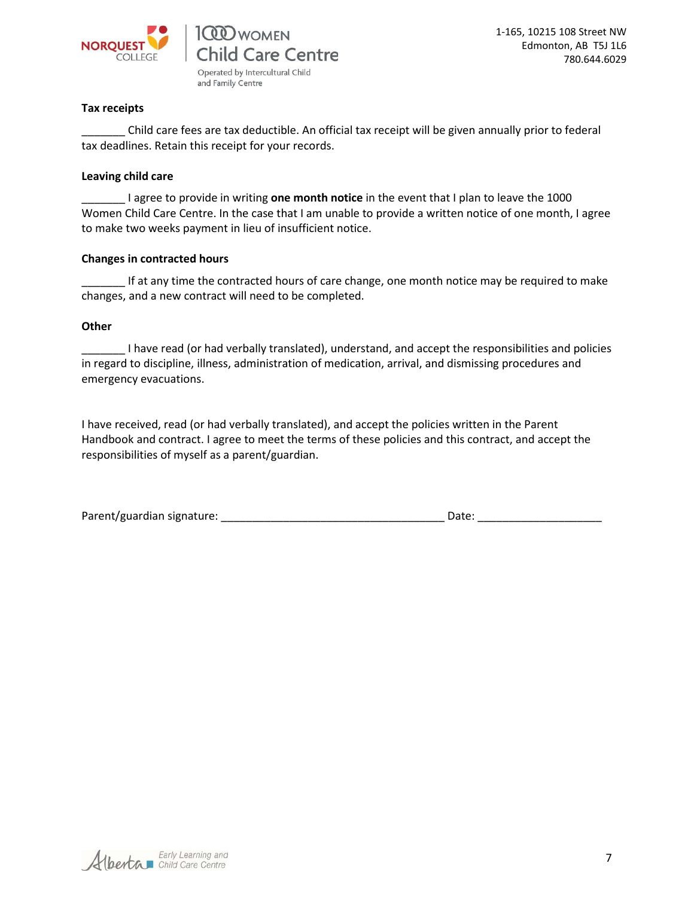

and Family Centre

1-165, 10215 108 Street NW Edmonton, AB T5J 1L6 780.644.6029

#### **Tax receipts**

Child care fees are tax deductible. An official tax receipt will be given annually prior to federal tax deadlines. Retain this receipt for your records.

#### **Leaving child care**

\_\_\_\_\_\_\_ I agree to provide in writing **one month notice** in the event that I plan to leave the 1000 Women Child Care Centre. In the case that I am unable to provide a written notice of one month, I agree to make two weeks payment in lieu of insufficient notice.

#### **Changes in contracted hours**

If at any time the contracted hours of care change, one month notice may be required to make changes, and a new contract will need to be completed.

#### **Other**

I have read (or had verbally translated), understand, and accept the responsibilities and policies in regard to discipline, illness, administration of medication, arrival, and dismissing procedures and emergency evacuations.

I have received, read (or had verbally translated), and accept the policies written in the Parent Handbook and contract. I agree to meet the terms of these policies and this contract, and accept the responsibilities of myself as a parent/guardian.

| Parent/guardian signature: | Date: |  |
|----------------------------|-------|--|
|                            |       |  |